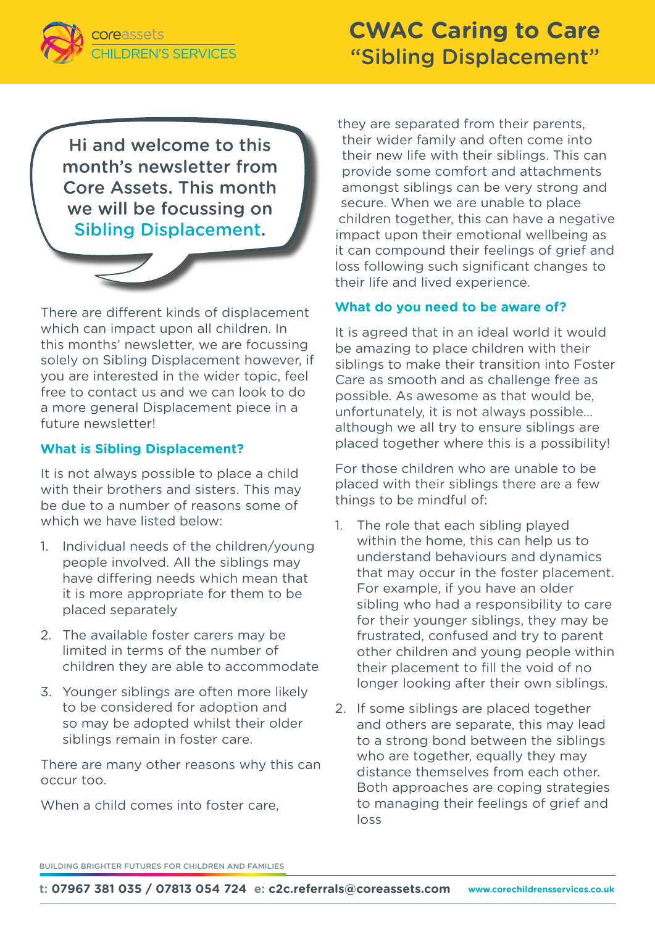

# **CWAC Caring to Care** "Sibling Displacement"

Hi and welcome to this month's newsletter from Core Assets. This month we will be focussing on Sibling Displacement.



There are different kinds of displacement which can impact upon all children. In this months' newsletter, we are focussing solely on Sibling Displacement however, if you are interested in the wider topic, feel free to contact us and we can look to do a more general Displacement piece in a future newsletter!

### **What is Sibling Displacement?**

It is not always possible to place a child with their brothers and sisters. This may be due to a number of reasons some of which we have listed below:

- 1. Individual needs of the children/young people involved. All the siblings may have differing needs which mean that it is more appropriate for them to be placed separately
- 2. The available foster carers may be limited in terms of the number of children they are able to accommodate
- 3. Younger siblings are often more likely to be considered for adoption and so may be adopted whilst their older siblings remain in foster care.

There are many other reasons why this can occur too.

When a child comes into foster care.

they are separated from their parents, their wider family and often come into their new life with their siblings. This can provide some comfort and attachments amongst siblings can be very strong and secure. When we are unable to place children together, this can have a negative impact upon their emotional wellbeing as it can compound their feelings of grief and loss following such significant changes to their life and lived experience.

#### **What do you need to be aware of?**

It is agreed that in an ideal world it would be amazing to place children with their siblings to make their transition into Foster Care as smooth and as challenge free as possible. As awesome as that would be, unfortunately, it is not always possible… although we all try to ensure siblings are placed together where this is a possibility!

For those children who are unable to be placed with their siblings there are a few things to be mindful of:

- 1. The role that each sibling played within the home, this can help us to understand behaviours and dynamics that may occur in the foster placement. For example, if you have an older sibling who had a responsibility to care for their younger siblings, they may be frustrated, confused and try to parent other children and young people within their placement to fill the void of no longer looking after their own siblings.
- 2. If some siblings are placed together and others are separate, this may lead to a strong bond between the siblings who are together, equally they may distance themselves from each other. Both approaches are coping strategies to managing their feelings of grief and loss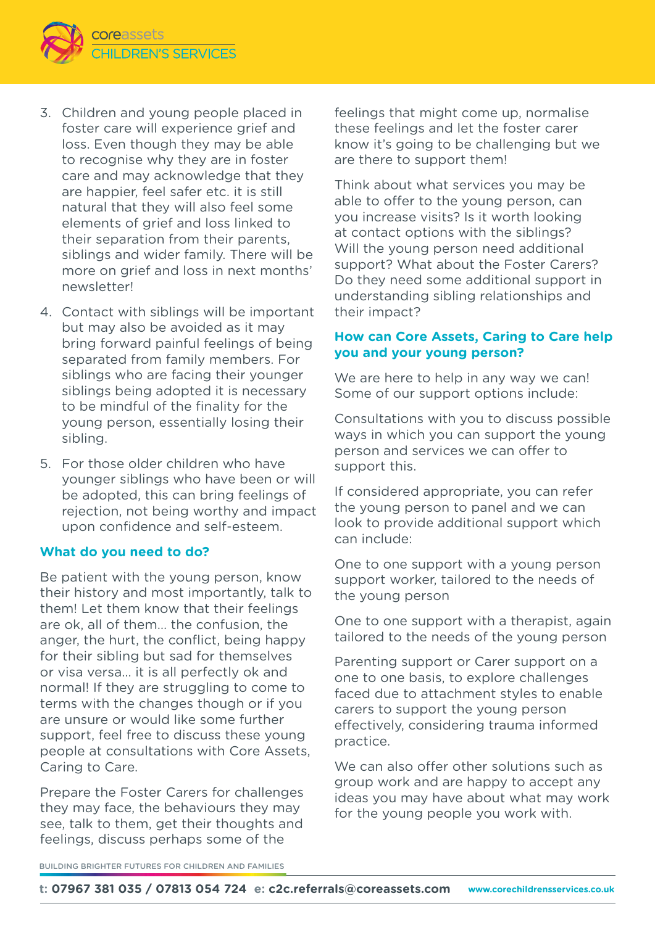

- 3. Children and young people placed in foster care will experience grief and loss. Even though they may be able to recognise why they are in foster care and may acknowledge that they are happier, feel safer etc. it is still natural that they will also feel some elements of grief and loss linked to their separation from their parents, siblings and wider family. There will be more on grief and loss in next months' newsletter!
- 4. Contact with siblings will be important but may also be avoided as it may bring forward painful feelings of being separated from family members. For siblings who are facing their younger siblings being adopted it is necessary to be mindful of the finality for the young person, essentially losing their sibling.
- 5. For those older children who have younger siblings who have been or will be adopted, this can bring feelings of rejection, not being worthy and impact upon confidence and self-esteem.

#### **What do you need to do?**

Be patient with the young person, know their history and most importantly, talk to them! Let them know that their feelings are ok, all of them… the confusion, the anger, the hurt, the conflict, being happy for their sibling but sad for themselves or visa versa… it is all perfectly ok and normal! If they are struggling to come to terms with the changes though or if you are unsure or would like some further support, feel free to discuss these young people at consultations with Core Assets, Caring to Care.

Prepare the Foster Carers for challenges they may face, the behaviours they may see, talk to them, get their thoughts and feelings, discuss perhaps some of the

feelings that might come up, normalise these feelings and let the foster carer know it's going to be challenging but we are there to support them!

Think about what services you may be able to offer to the young person, can you increase visits? Is it worth looking at contact options with the siblings? Will the young person need additional support? What about the Foster Carers? Do they need some additional support in understanding sibling relationships and their impact?

### **How can Core Assets, Caring to Care help you and your young person?**

We are here to help in any way we can! Some of our support options include:

Consultations with you to discuss possible ways in which you can support the young person and services we can offer to support this.

If considered appropriate, you can refer the young person to panel and we can look to provide additional support which can include:

One to one support with a young person support worker, tailored to the needs of the young person

One to one support with a therapist, again tailored to the needs of the young person

Parenting support or Carer support on a one to one basis, to explore challenges faced due to attachment styles to enable carers to support the young person effectively, considering trauma informed practice.

We can also offer other solutions such as group work and are happy to accept any ideas you may have about what may work for the young people you work with.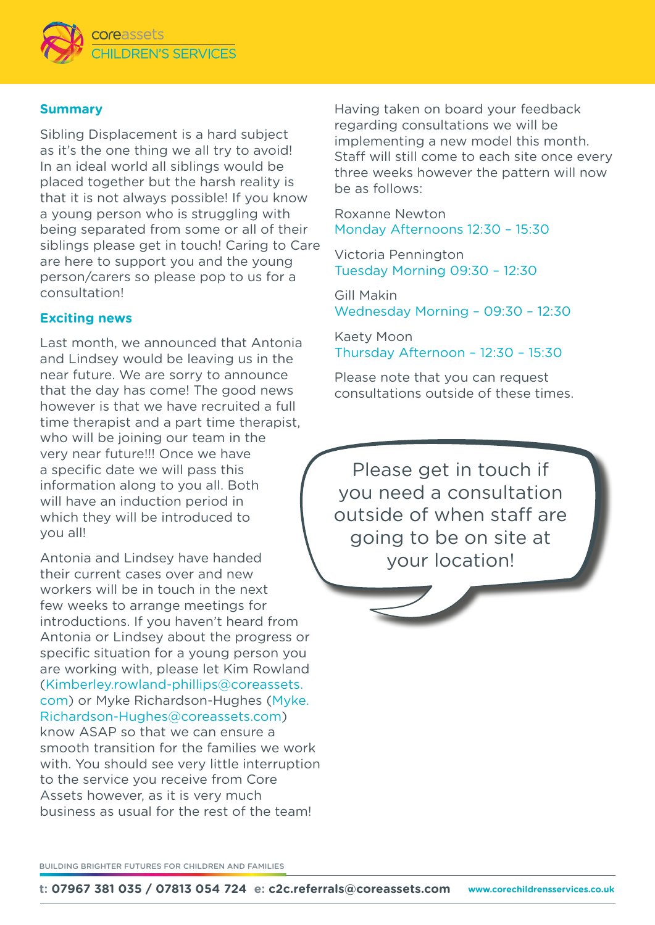

## **Summary**

Sibling Displacement is a hard subject as it's the one thing we all try to avoid! In an ideal world all siblings would be placed together but the harsh reality is that it is not always possible! If you know a young person who is struggling with being separated from some or all of their siblings please get in touch! Caring to Care are here to support you and the young person/carers so please pop to us for a consultation!

### **Exciting news**

Last month, we announced that Antonia and Lindsey would be leaving us in the near future. We are sorry to announce that the day has come! The good news however is that we have recruited a full time therapist and a part time therapist, who will be joining our team in the very near future!!! Once we have a specific date we will pass this information along to you all. Both will have an induction period in which they will be introduced to you all!

Antonia and Lindsey have handed their current cases over and new workers will be in touch in the next few weeks to arrange meetings for introductions. If you haven't heard from Antonia or Lindsey about the progress or specific situation for a young person you are working with, please let Kim Rowland (Kimberley.rowland-phillips@coreassets. com) or Myke Richardson-Hughes (Myke. Richardson-Hughes@coreassets.com) know ASAP so that we can ensure a smooth transition for the families we work with. You should see very little interruption to the service you receive from Core Assets however, as it is very much business as usual for the rest of the team!

Having taken on board your feedback regarding consultations we will be implementing a new model this month. Staff will still come to each site once every three weeks however the pattern will now be as follows:

Roxanne Newton Monday Afternoons 12:30 – 15:30

Victoria Pennington Tuesday Morning 09:30 – 12:30

Gill Makin Wednesday Morning – 09:30 – 12:30

Kaety Moon Thursday Afternoon – 12:30 – 15:30

Please note that you can request consultations outside of these times.

Please get in touch if you need a consultation outside of when staff are going to be on site at your location!